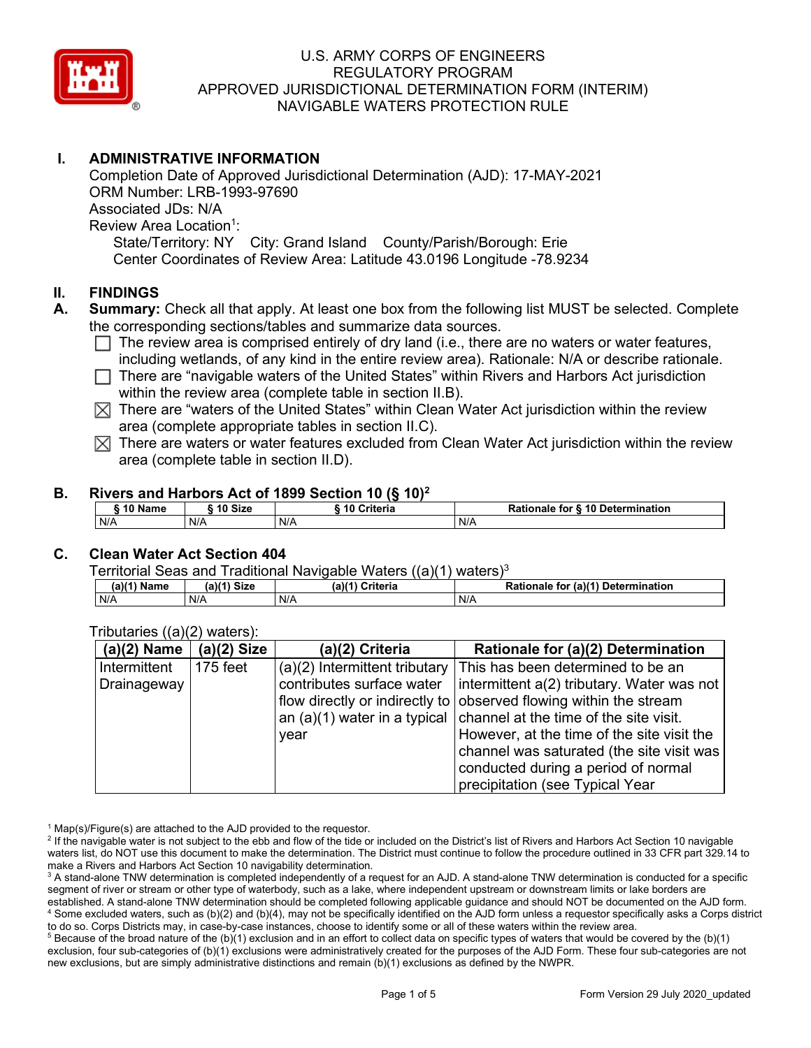

# **I. ADMINISTRATIVE INFORMATION**

Completion Date of Approved Jurisdictional Determination (AJD): 17-MAY-2021 ORM Number: LRB-1993-97690 Associated JDs: N/A Review Area Location<sup>1</sup>: State/Territory: NY City: Grand Island County/Parish/Borough: Erie Center Coordinates of Review Area: Latitude 43.0196 Longitude -78.9234

## **II. FINDINGS**

- **A. Summary:** Check all that apply. At least one box from the following list MUST be selected. Complete the corresponding sections/tables and summarize data sources.
	- $\Box$  The review area is comprised entirely of dry land (i.e., there are no waters or water features, including wetlands, of any kind in the entire review area). Rationale: N/A or describe rationale.
	- $\Box$  There are "navigable waters of the United States" within Rivers and Harbors Act jurisdiction within the review area (complete table in section II.B).
	- $\boxtimes$  There are "waters of the United States" within Clean Water Act jurisdiction within the review area (complete appropriate tables in section II.C).
	- $\boxtimes$  There are waters or water features excluded from Clean Water Act jurisdiction within the review area (complete table in section II.D).

## **B. Rivers and Harbors Act of 1899 Section 10 (§ 10)2**

| $\degree$ 10 Name | 10 Size | Criteria | <b>Rationale for § 10 Determination</b> |  |  |
|-------------------|---------|----------|-----------------------------------------|--|--|
| N/A               | N/A     | N/A      | N/A                                     |  |  |

# **C. Clean Water Act Section 404**

Territorial Seas and Traditional Navigable Waters  $((a)(1)$  waters)<sup>3</sup>

| $(a)$ <sup><math>(1)</math></sup><br>Name | <b>Size</b><br>(a)(4) | $(a)$ $(4)$<br><b>Criteria</b> | `` /a)(^`<br>Determination<br>Rationale<br>tor |
|-------------------------------------------|-----------------------|--------------------------------|------------------------------------------------|
| N/A                                       | N/A                   | N/A                            | N/A                                            |

| $(a)(2)$ Name | $(a)(2)$ Size | (a)(2) Criteria           | Rationale for (a)(2) Determination                                    |
|---------------|---------------|---------------------------|-----------------------------------------------------------------------|
| Intermittent  | $175$ feet    |                           | $(a)(2)$ Intermittent tributary This has been determined to be an     |
| Drainageway   |               | contributes surface water | intermittent a(2) tributary. Water was not                            |
|               |               |                           | flow directly or indirectly to observed flowing within the stream     |
|               |               |                           | an $(a)(1)$ water in a typical channel at the time of the site visit. |
|               |               | year                      | However, at the time of the site visit the                            |
|               |               |                           | channel was saturated (the site visit was                             |
|               |               |                           | conducted during a period of normal                                   |
|               |               |                           | precipitation (see Typical Year                                       |

#### Tributaries ((a)(2) waters):

 $1$  Map(s)/Figure(s) are attached to the AJD provided to the requestor.

<sup>2</sup> If the navigable water is not subject to the ebb and flow of the tide or included on the District's list of Rivers and Harbors Act Section 10 navigable waters list, do NOT use this document to make the determination. The District must continue to follow the procedure outlined in 33 CFR part 329.14 to make a Rivers and Harbors Act Section 10 navigability determination.

 $5$  Because of the broad nature of the (b)(1) exclusion and in an effort to collect data on specific types of waters that would be covered by the (b)(1) exclusion, four sub-categories of (b)(1) exclusions were administratively created for the purposes of the AJD Form. These four sub-categories are not new exclusions, but are simply administrative distinctions and remain (b)(1) exclusions as defined by the NWPR.

<sup>&</sup>lt;sup>3</sup> A stand-alone TNW determination is completed independently of a request for an AJD. A stand-alone TNW determination is conducted for a specific segment of river or stream or other type of waterbody, such as a lake, where independent upstream or downstream limits or lake borders are established. A stand-alone TNW determination should be completed following applicable guidance and should NOT be documented on the AJD form. <sup>4</sup> Some excluded waters, such as (b)(2) and (b)(4), may not be specifically identified on the AJD form unless a requestor specifically asks a Corps district to do so. Corps Districts may, in case-by-case instances, choose to identify some or all of these waters within the review area.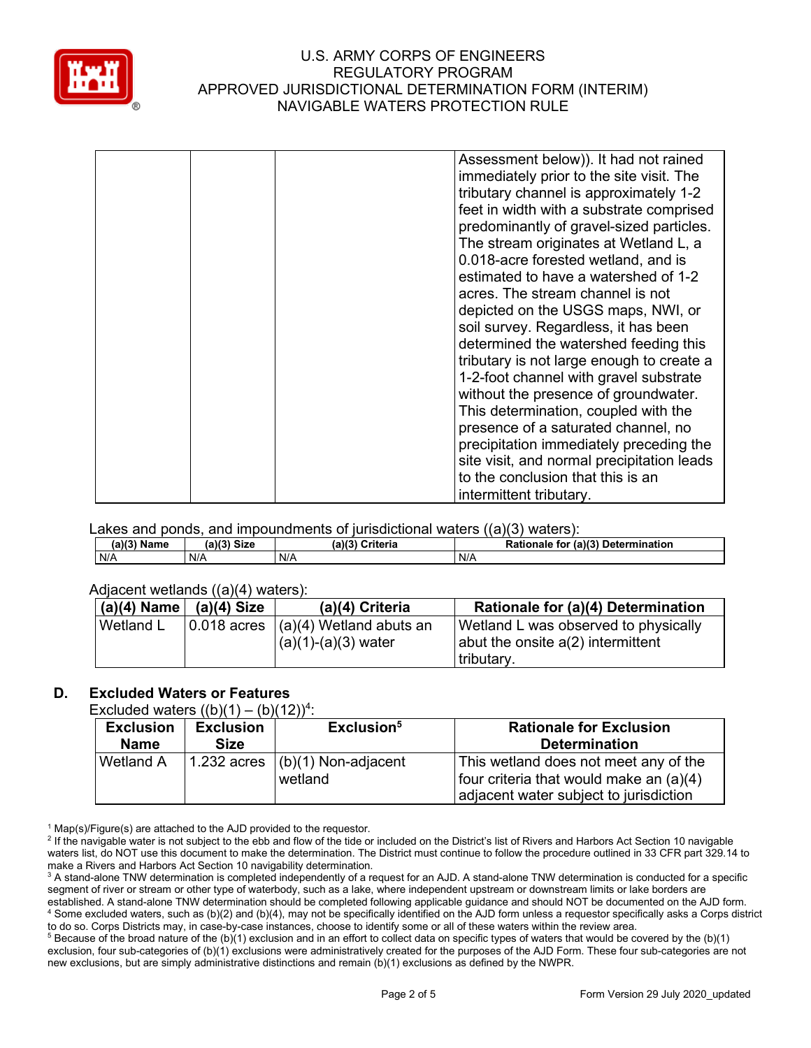

| Assessment below)). It had not rained      |
|--------------------------------------------|
| immediately prior to the site visit. The   |
| tributary channel is approximately 1-2     |
| feet in width with a substrate comprised   |
| predominantly of gravel-sized particles.   |
| The stream originates at Wetland L, a      |
| 0.018-acre forested wetland, and is        |
| estimated to have a watershed of 1-2       |
| acres. The stream channel is not           |
| depicted on the USGS maps, NWI, or         |
| soil survey. Regardless, it has been       |
| determined the watershed feeding this      |
| tributary is not large enough to create a  |
| 1-2-foot channel with gravel substrate     |
| without the presence of groundwater.       |
| This determination, coupled with the       |
| presence of a saturated channel, no        |
| precipitation immediately preceding the    |
|                                            |
| site visit, and normal precipitation leads |
| to the conclusion that this is an          |
| intermittent tributary.                    |

Lakes and ponds, and impoundments of jurisdictional waters ((a)(3) waters):

| (a)(?')<br>. .<br>Name | .119<br>$C^{\dagger}$<br>JIZE | $\overline{\mathbf{v}}$<br>$\sim$ $\sim$ ritoria<br>пена<br>. | (2)<br>Determination<br><b>Det</b><br>- --<br>tor<br>tιo<br>naie |
|------------------------|-------------------------------|---------------------------------------------------------------|------------------------------------------------------------------|
| N/A                    | N/A                           | N/A                                                           | N/A                                                              |

#### Adiacent wetlands ((a)(4) waters):

| $(a)(4)$ Name    | $(a)(4)$ Size | (a)(4) Criteria                                     | Rationale for (a)(4) Determination                  |
|------------------|---------------|-----------------------------------------------------|-----------------------------------------------------|
| <b>Wetland L</b> |               | $\vert 0.018$ acres $\vert (a)(4)$ Wetland abuts an | Wetland L was observed to physically                |
|                  |               | $(a)(1)-(a)(3)$ water                               | $ $ abut the onsite a(2) intermittent<br>tributary. |

# **D. Excluded Waters or Features**

Excluded waters  $((b)(1) - (b)(12))^4$ :

| <b>Exclusion</b><br><b>Name</b> | <b>Exclusion</b><br>Size | Exclusion <sup>5</sup>             | <b>Rationale for Exclusion</b><br><b>Determination</b> |
|---------------------------------|--------------------------|------------------------------------|--------------------------------------------------------|
| Wetland A                       |                          | 1.232 acres $ (b)(1)$ Non-adjacent | This wetland does not meet any of the                  |
|                                 |                          | wetland                            | four criteria that would make an (a)(4)                |
|                                 |                          |                                    | adjacent water subject to jurisdiction                 |

 $1$  Map(s)/Figure(s) are attached to the AJD provided to the requestor.

<sup>5</sup> Because of the broad nature of the (b)(1) exclusion and in an effort to collect data on specific types of waters that would be covered by the (b)(1) exclusion, four sub-categories of (b)(1) exclusions were administratively created for the purposes of the AJD Form. These four sub-categories are not new exclusions, but are simply administrative distinctions and remain (b)(1) exclusions as defined by the NWPR.

<sup>&</sup>lt;sup>2</sup> If the navigable water is not subject to the ebb and flow of the tide or included on the District's list of Rivers and Harbors Act Section 10 navigable waters list, do NOT use this document to make the determination. The District must continue to follow the procedure outlined in 33 CFR part 329.14 to make a Rivers and Harbors Act Section 10 navigability determination.

<sup>&</sup>lt;sup>3</sup> A stand-alone TNW determination is completed independently of a request for an AJD. A stand-alone TNW determination is conducted for a specific segment of river or stream or other type of waterbody, such as a lake, where independent upstream or downstream limits or lake borders are established. A stand-alone TNW determination should be completed following applicable guidance and should NOT be documented on the AJD form. <sup>4</sup> Some excluded waters, such as (b)(2) and (b)(4), may not be specifically identified on the AJD form unless a requestor specifically asks a Corps district to do so. Corps Districts may, in case-by-case instances, choose to identify some or all of these waters within the review area.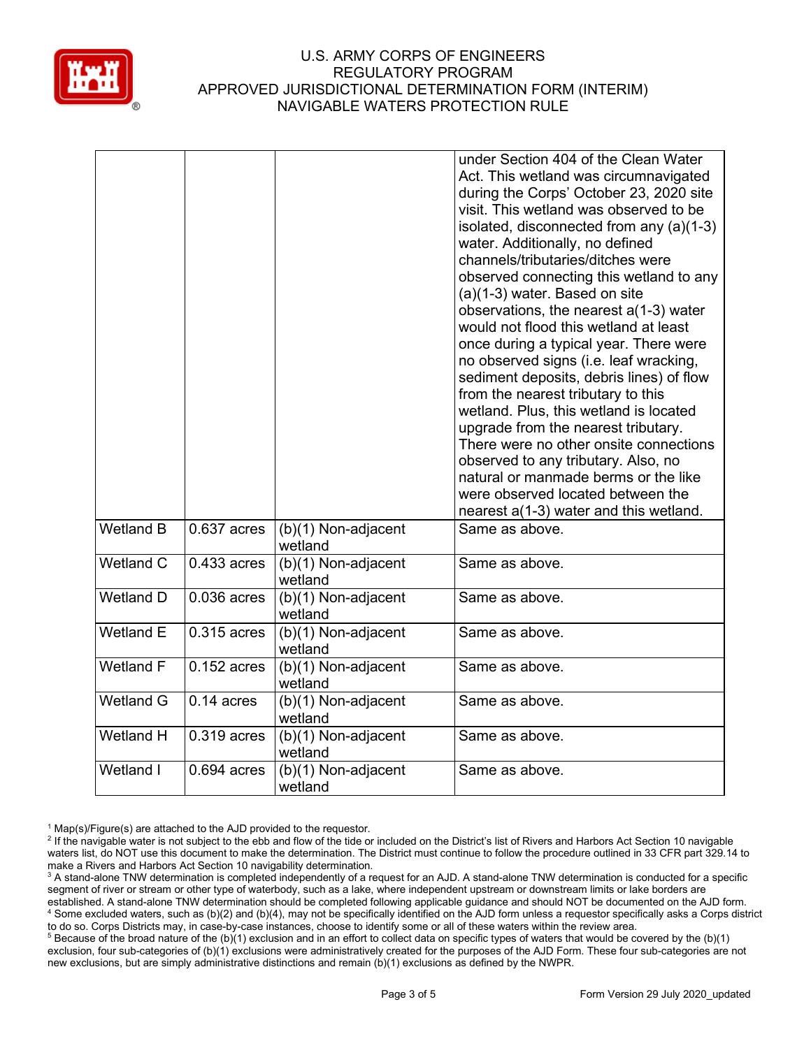

|                  |               |                                  | under Section 404 of the Clean Water<br>Act. This wetland was circumnavigated<br>during the Corps' October 23, 2020 site<br>visit. This wetland was observed to be<br>isolated, disconnected from any (a)(1-3)<br>water. Additionally, no defined<br>channels/tributaries/ditches were<br>observed connecting this wetland to any<br>(a)(1-3) water. Based on site<br>observations, the nearest a(1-3) water<br>would not flood this wetland at least<br>once during a typical year. There were<br>no observed signs (i.e. leaf wracking,<br>sediment deposits, debris lines) of flow<br>from the nearest tributary to this<br>wetland. Plus, this wetland is located<br>upgrade from the nearest tributary.<br>There were no other onsite connections<br>observed to any tributary. Also, no<br>natural or manmade berms or the like<br>were observed located between the<br>nearest a(1-3) water and this wetland. |
|------------------|---------------|----------------------------------|----------------------------------------------------------------------------------------------------------------------------------------------------------------------------------------------------------------------------------------------------------------------------------------------------------------------------------------------------------------------------------------------------------------------------------------------------------------------------------------------------------------------------------------------------------------------------------------------------------------------------------------------------------------------------------------------------------------------------------------------------------------------------------------------------------------------------------------------------------------------------------------------------------------------|
| <b>Wetland B</b> | $0.637$ acres | $(b)(1)$ Non-adjacent<br>wetland | Same as above.                                                                                                                                                                                                                                                                                                                                                                                                                                                                                                                                                                                                                                                                                                                                                                                                                                                                                                       |
| Wetland C        | 0.433 acres   | (b)(1) Non-adjacent<br>wetland   | Same as above.                                                                                                                                                                                                                                                                                                                                                                                                                                                                                                                                                                                                                                                                                                                                                                                                                                                                                                       |
| <b>Wetland D</b> | $0.036$ acres | $(b)(1)$ Non-adjacent<br>wetland | Same as above.                                                                                                                                                                                                                                                                                                                                                                                                                                                                                                                                                                                                                                                                                                                                                                                                                                                                                                       |
| <b>Wetland E</b> | $0.315$ acres | (b)(1) Non-adjacent<br>wetland   | Same as above.                                                                                                                                                                                                                                                                                                                                                                                                                                                                                                                                                                                                                                                                                                                                                                                                                                                                                                       |
| <b>Wetland F</b> | $0.152$ acres | (b)(1) Non-adjacent<br>wetland   | Same as above.                                                                                                                                                                                                                                                                                                                                                                                                                                                                                                                                                                                                                                                                                                                                                                                                                                                                                                       |
| <b>Wetland G</b> | $0.14$ acres  | (b)(1) Non-adjacent<br>wetland   | Same as above.                                                                                                                                                                                                                                                                                                                                                                                                                                                                                                                                                                                                                                                                                                                                                                                                                                                                                                       |
| Wetland H        | $0.319$ acres | (b)(1) Non-adjacent<br>wetland   | Same as above.                                                                                                                                                                                                                                                                                                                                                                                                                                                                                                                                                                                                                                                                                                                                                                                                                                                                                                       |
| Wetland I        | $0.694$ acres | (b)(1) Non-adjacent<br>wetland   | Same as above.                                                                                                                                                                                                                                                                                                                                                                                                                                                                                                                                                                                                                                                                                                                                                                                                                                                                                                       |

 $1$  Map(s)/Figure(s) are attached to the AJD provided to the requestor.

<sup>&</sup>lt;sup>2</sup> If the navigable water is not subject to the ebb and flow of the tide or included on the District's list of Rivers and Harbors Act Section 10 navigable waters list, do NOT use this document to make the determination. The District must continue to follow the procedure outlined in 33 CFR part 329.14 to make a Rivers and Harbors Act Section 10 navigability determination.

<sup>&</sup>lt;sup>3</sup> A stand-alone TNW determination is completed independently of a request for an AJD. A stand-alone TNW determination is conducted for a specific segment of river or stream or other type of waterbody, such as a lake, where independent upstream or downstream limits or lake borders are established. A stand-alone TNW determination should be completed following applicable guidance and should NOT be documented on the AJD form. <sup>4</sup> Some excluded waters, such as (b)(2) and (b)(4), may not be specifically identified on the AJD form unless a requestor specifically asks a Corps district to do so. Corps Districts may, in case-by-case instances, choose to identify some or all of these waters within the review area.

<sup>&</sup>lt;sup>5</sup> Because of the broad nature of the (b)(1) exclusion and in an effort to collect data on specific types of waters that would be covered by the (b)(1) exclusion, four sub-categories of (b)(1) exclusions were administratively created for the purposes of the AJD Form. These four sub-categories are not new exclusions, but are simply administrative distinctions and remain (b)(1) exclusions as defined by the NWPR.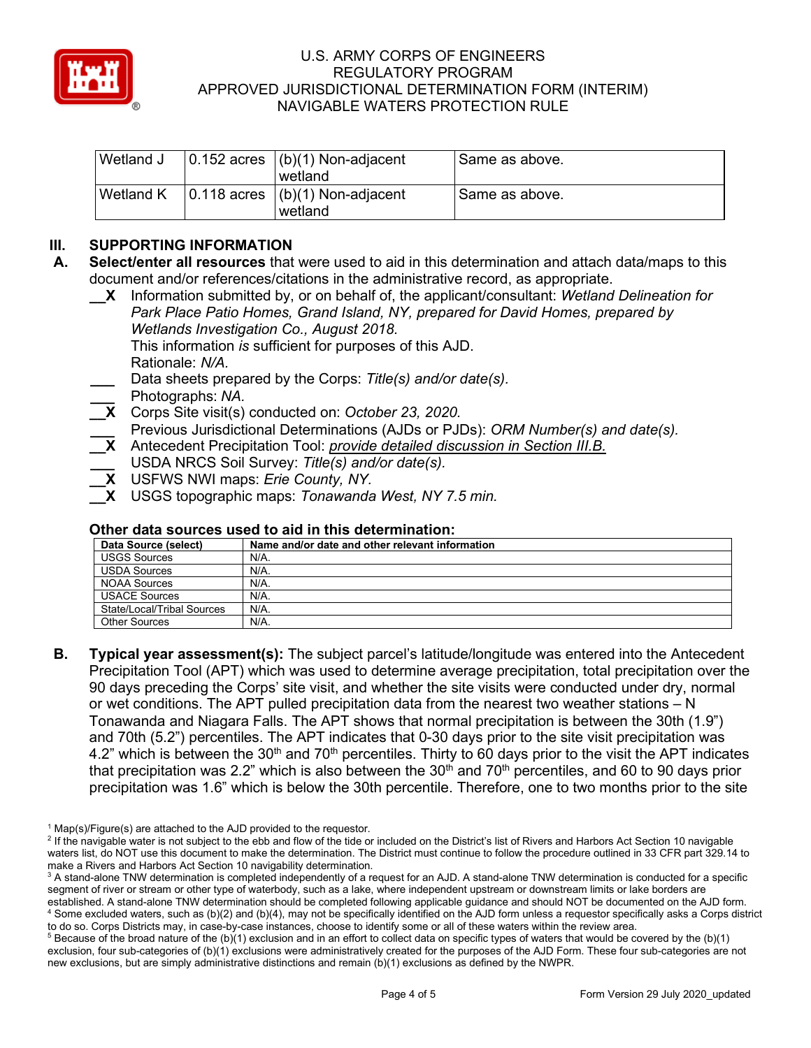

| Wetland J | $\vert 0.152$ acres $\vert (b)(1)$ Non-adjacent<br>wetland | Same as above. |
|-----------|------------------------------------------------------------|----------------|
| Wetland K | $\vert 0.118$ acres $\vert (b)(1)$ Non-adjacent<br>wetland | Same as above. |

# **III. SUPPORTING INFORMATION**

- **A. Select/enter all resources** that were used to aid in this determination and attach data/maps to this document and/or references/citations in the administrative record, as appropriate.
	- **\_\_X** Information submitted by, or on behalf of, the applicant/consultant: *Wetland Delineation for Park Place Patio Homes, Grand Island, NY, prepared for David Homes, prepared by Wetlands Investigation Co., August 2018.* This information *is* sufficient for purposes of this AJD. Rationale: *N/A.* **\_\_\_** Data sheets prepared by the Corps: *Title(s) and/or date(s).*
	- **\_\_\_** Photographs: *NA.*
	- **\_\_X** Corps Site visit(s) conducted on: *October 23, 2020.*
	- **\_\_\_** Previous Jurisdictional Determinations (AJDs or PJDs): *ORM Number(s) and date(s).*
	- **\_\_X** Antecedent Precipitation Tool: *provide detailed discussion in Section III.B.*
	- **\_\_\_** USDA NRCS Soil Survey: *Title(s) and/or date(s).*
	- **\_\_X** USFWS NWI maps: *Erie County, NY.*
	- **\_\_X** USGS topographic maps: *Tonawanda West, NY 7.5 min.*

#### **Other data sources used to aid in this determination:**

| Data Source (select)       | Name and/or date and other relevant information |
|----------------------------|-------------------------------------------------|
| <b>USGS Sources</b>        | N/A.                                            |
| <b>USDA Sources</b>        | N/A.                                            |
| NOAA Sources               | N/A.                                            |
| <b>USACE Sources</b>       | N/A.                                            |
| State/Local/Tribal Sources | N/A.                                            |
| <b>Other Sources</b>       | N/A.                                            |

**B. Typical year assessment(s):** The subject parcel's latitude/longitude was entered into the Antecedent Precipitation Tool (APT) which was used to determine average precipitation, total precipitation over the 90 days preceding the Corps' site visit, and whether the site visits were conducted under dry, normal or wet conditions. The APT pulled precipitation data from the nearest two weather stations  $- N$ Tonawanda and Niagara Falls. The APT shows that normal precipitation is between the 30th (1.9") and 70th (5.2") percentiles. The APT indicates that 0-30 days prior to the site visit precipitation was 4.2" which is between the 30<sup>th</sup> and 70<sup>th</sup> percentiles. Thirty to 60 days prior to the visit the APT indicates that precipitation was 2.2" which is also between the  $30<sup>th</sup>$  and  $70<sup>th</sup>$  percentiles, and 60 to 90 days prior precipitation was 1.6" which is below the 30th percentile. Therefore, one to two months prior to the site

 $1$  Map(s)/Figure(s) are attached to the AJD provided to the requestor.

<sup>&</sup>lt;sup>2</sup> If the navigable water is not subject to the ebb and flow of the tide or included on the District's list of Rivers and Harbors Act Section 10 navigable waters list, do NOT use this document to make the determination. The District must continue to follow the procedure outlined in 33 CFR part 329.14 to make a Rivers and Harbors Act Section 10 navigability determination.

<sup>&</sup>lt;sup>3</sup> A stand-alone TNW determination is completed independently of a request for an AJD. A stand-alone TNW determination is conducted for a specific segment of river or stream or other type of waterbody, such as a lake, where independent upstream or downstream limits or lake borders are established. A stand-alone TNW determination should be completed following applicable guidance and should NOT be documented on the AJD form. <sup>4</sup> Some excluded waters, such as (b)(2) and (b)(4), may not be specifically identified on the AJD form unless a requestor specifically asks a Corps district to do so. Corps Districts may, in case-by-case instances, choose to identify some or all of these waters within the review area.

 $5$  Because of the broad nature of the (b)(1) exclusion and in an effort to collect data on specific types of waters that would be covered by the (b)(1) exclusion, four sub-categories of (b)(1) exclusions were administratively created for the purposes of the AJD Form. These four sub-categories are not new exclusions, but are simply administrative distinctions and remain (b)(1) exclusions as defined by the NWPR.